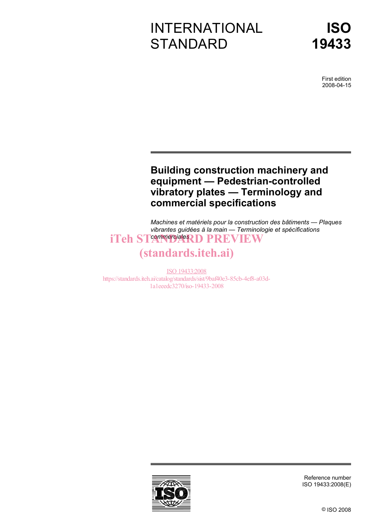# INTERNATIONAL **STANDARD**

First edition 2008-04-15

## **Building construction machinery and equipment — Pedestrian-controlled vibratory plates — Terminology and commercial specifications**

*Machines et matériels pour la construction des bâtiments — Plaques vibrantes guidées à la main — Terminologie et spécifications*  iTeh ST<sup>egmmerciale</sup>RD PREVIEW

# (standards.iteh.ai)

ISO 19433:2008 https://standards.iteh.ai/catalog/standards/sist/9baf40e3-85cb-4ef8-a03d-1a1eeedc3270/iso-19433-2008



Reference number ISO 19433:2008(E)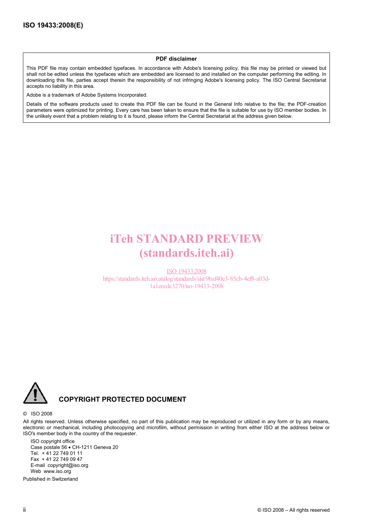#### **PDF disclaimer**

This PDF file may contain embedded typefaces. In accordance with Adobe's licensing policy, this file may be printed or viewed but shall not be edited unless the typefaces which are embedded are licensed to and installed on the computer performing the editing. In downloading this file, parties accept therein the responsibility of not infringing Adobe's licensing policy. The ISO Central Secretariat accepts no liability in this area.

Adobe is a trademark of Adobe Systems Incorporated.

Details of the software products used to create this PDF file can be found in the General Info relative to the file; the PDF-creation parameters were optimized for printing. Every care has been taken to ensure that the file is suitable for use by ISO member bodies. In the unlikely event that a problem relating to it is found, please inform the Central Secretariat at the address given below.

# iTeh STANDARD PREVIEW (standards.iteh.ai)

ISO 19433:2008 https://standards.iteh.ai/catalog/standards/sist/9baf40e3-85cb-4ef8-a03d-1a1eeedc3270/iso-19433-2008



## **COPYRIGHT PROTECTED DOCUMENT**

#### © ISO 2008

All rights reserved. Unless otherwise specified, no part of this publication may be reproduced or utilized in any form or by any means, electronic or mechanical, including photocopying and microfilm, without permission in writing from either ISO at the address below or ISO's member body in the country of the requester.

ISO copyright office Case postale 56 • CH-1211 Geneva 20 Tel. + 41 22 749 01 11 Fax + 41 22 749 09 47 E-mail copyright@iso.org Web www.iso.org

Published in Switzerland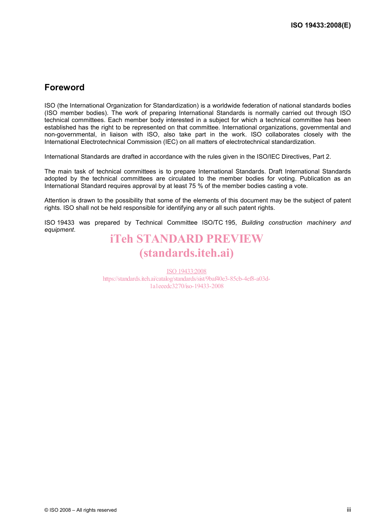## **Foreword**

ISO (the International Organization for Standardization) is a worldwide federation of national standards bodies (ISO member bodies). The work of preparing International Standards is normally carried out through ISO technical committees. Each member body interested in a subject for which a technical committee has been established has the right to be represented on that committee. International organizations, governmental and non-governmental, in liaison with ISO, also take part in the work. ISO collaborates closely with the International Electrotechnical Commission (IEC) on all matters of electrotechnical standardization.

International Standards are drafted in accordance with the rules given in the ISO/IEC Directives, Part 2.

The main task of technical committees is to prepare International Standards. Draft International Standards adopted by the technical committees are circulated to the member bodies for voting. Publication as an International Standard requires approval by at least 75 % of the member bodies casting a vote.

Attention is drawn to the possibility that some of the elements of this document may be the subject of patent rights. ISO shall not be held responsible for identifying any or all such patent rights.

ISO 19433 was prepared by Technical Committee ISO/TC 195, *Building construction machinery and equipment*.

# iTeh STANDARD PREVIEW (standards.iteh.ai)

ISO 19433:2008 https://standards.iteh.ai/catalog/standards/sist/9baf40e3-85cb-4ef8-a03d-1a1eeedc3270/iso-19433-2008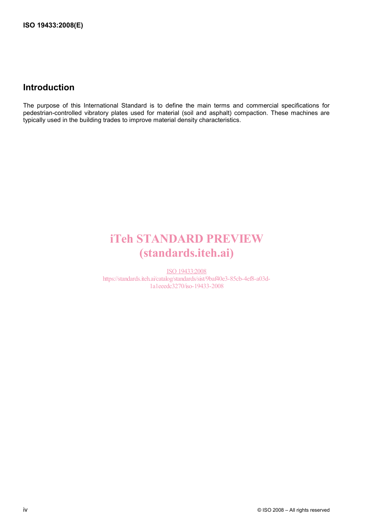## **Introduction**

The purpose of this International Standard is to define the main terms and commercial specifications for pedestrian-controlled vibratory plates used for material (soil and asphalt) compaction. These machines are typically used in the building trades to improve material density characteristics.

# iTeh STANDARD PREVIEW (standards.iteh.ai)

ISO 19433:2008 https://standards.iteh.ai/catalog/standards/sist/9baf40e3-85cb-4ef8-a03d-1a1eeedc3270/iso-19433-2008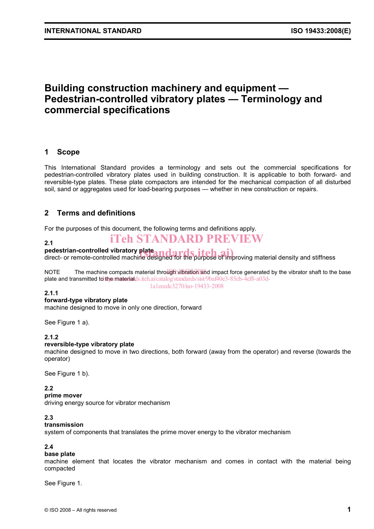## **Building construction machinery and equipment — Pedestrian-controlled vibratory plates — Terminology and commercial specifications**

#### **1 Scope**

This International Standard provides a terminology and sets out the commercial specifications for pedestrian-controlled vibratory plates used in building construction. It is applicable to both forward- and reversible-type plates. These plate compactors are intended for the mechanical compaction of all disturbed soil, sand or aggregates used for load-bearing purposes — whether in new construction or repairs.

## **2 Terms and definitions**

For the purposes of this document, the following terms and definitions apply.

#### **2.1**

## iTeh STANDARD PREVIEW

#### **pedestrian-controlled vibratory plate**

pedestrian-controlled vibratory plate and ard stiffel and purpose of improving material density and stiffness

NOTE The machine compacts material through vibration and impact force generated by the vibrator shaft to the base plate and transmitted to the materialds.iteh.ai/catalog/standards/sist/9baf40e3-85cb-4ef8-a03d-1a1eeedc3270/iso-19433-2008

#### **2.1.1**

#### **forward-type vibratory plate**

machine designed to move in only one direction, forward

See Figure 1 a).

#### **2.1.2**

#### **reversible-type vibratory plate**

machine designed to move in two directions, both forward (away from the operator) and reverse (towards the operator)

See Figure 1 b).

#### **2.2**

**prime mover** 

driving energy source for vibrator mechanism

#### **2.3**

#### **transmission**

system of components that translates the prime mover energy to the vibrator mechanism

#### **2.4**

#### **base plate**

machine element that locates the vibrator mechanism and comes in contact with the material being compacted

See Figure 1.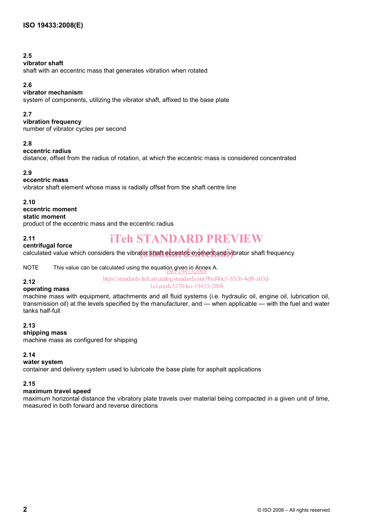## **2.5**

#### **vibrator shaft**

shaft with an eccentric mass that generates vibration when rotated

## **2.6**

## **vibrator mechanism**

system of components, utilizing the vibrator shaft, affixed to the base plate

## **2.7**

**vibration frequency** 

number of vibrator cycles per second

## **2.8**

#### **eccentric radius**

distance, offset from the radius of rotation, at which the eccentric mass is considered concentrated

## **2.9**

#### **eccentric mass**

vibrator shaft element whose mass is radially offset from the shaft centre line

#### **2.10**

## **eccentric moment**

**static moment**  product of the eccentric mass and the eccentric radius

#### **2.11**

## iTeh STANDARD PREVIEW

## **centrifugal force**

# calculated value which considers the vibrator shaft eccentric moment and vibrator shaft frequency

NOTE This value can be calculated using the equation given in Annex A.<br>19433:2008

#### https://standards.iteh.ai/catalog/standards/sist/9baf40e3-85cb-4ef8-a03d-

#### **2.12 operating mass**

1a1eeedc3270/iso-19433-2008

#### machine mass with equipment, attachments and all fluid systems (i.e. hydraulic oil, engine oil, lubrication oil, transmission oil) at the levels specified by the manufacturer, and — when applicable — with the fuel and water tanks half-full

#### **2.13**

#### **shipping mass**

machine mass as configured for shipping

## **2.14**

## **water system**

container and delivery system used to lubricate the base plate for asphalt applications

## **2.15**

## **maximum travel speed**

maximum horizontal distance the vibratory plate travels over material being compacted in a given unit of time, measured in both forward and reverse directions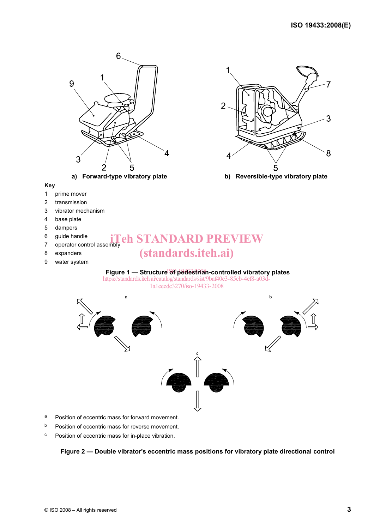

- a Position of eccentric mass for forward movement.
- b Position of eccentric mass for reverse movement.
- c Position of eccentric mass for in-place vibration.

**Figure 2 — Double vibrator's eccentric mass positions for vibratory plate directional control**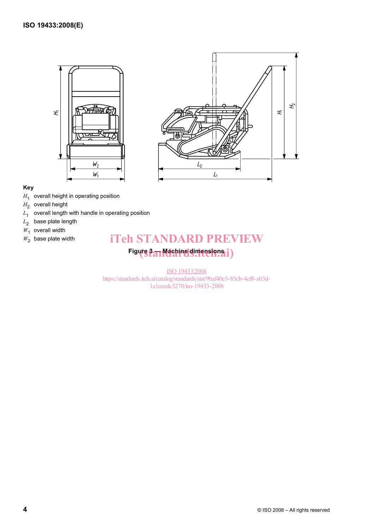



#### **Key**

- *H*<sub>1</sub> overall height in operating position
- H<sub>2</sub> overall height
- *L*1 overall length with handle in operating position
- *L*2 base plate length
- $W_1$  overall width
- $W_2$  base plate width

## iTeh STANDARD PREVIEW

# Figure 3 **An Machine dimensions i**

ISO 19433:2008 https://standards.iteh.ai/catalog/standards/sist/9baf40e3-85cb-4ef8-a03d-1a1eeedc3270/iso-19433-2008